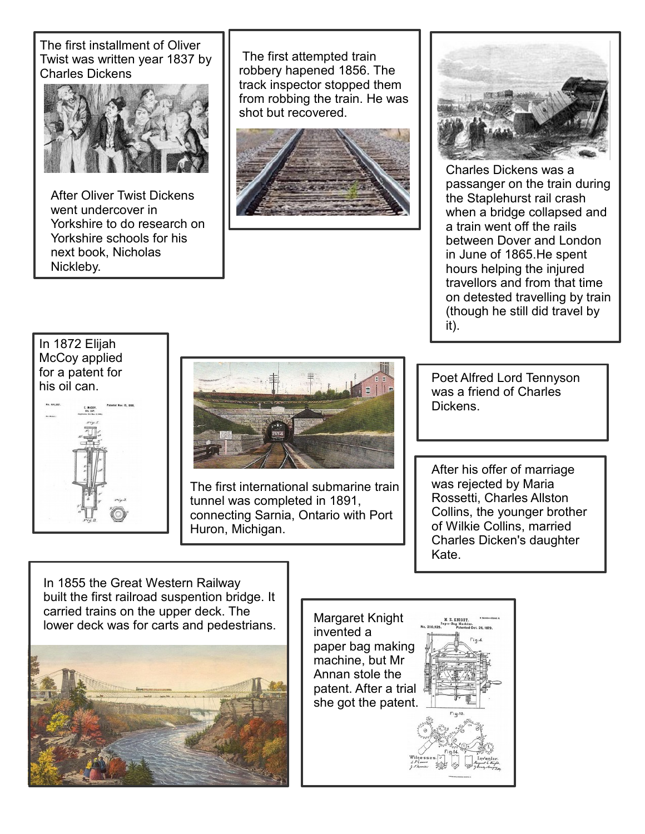The first installment of Oliver Twist was written year 1837 by Charles Dickens



After Oliver Twist Dickens went undercover in Yorkshire to do research on Yorkshire schools for his next book, Nicholas Nickleby.

The first attempted train robbery hapened 1856. The track inspector stopped them from robbing the train. He was shot but recovered.





Charles Dickens was a passanger on the train during the Staplehurst rail crash when a bridge collapsed and a train went off the rails between Dover and London in June of 1865.He spent hours helping the injured travellors and from that time on detested travelling by train (though he still did travel by it).

## In 1872 Elijah McCoy applied for a patent for his oil can.





The first international submarine train tunnel was completed in 1891, connecting Sarnia, Ontario with Port Huron, Michigan.

Poet Alfred Lord Tennyson was a friend of Charles Dickens.

After his offer of marriage was rejected by Maria Rossetti, Charles Allston Collins, the younger brother of Wilkie Collins, married Charles Dicken's daughter Kate.

In 1855 the Great Western Railway built the first railroad suspention bridge. It carried trains on the upper deck. The Lamed danis on the upper deck. The straight Margaret Knight I was for carts and pedestrians.



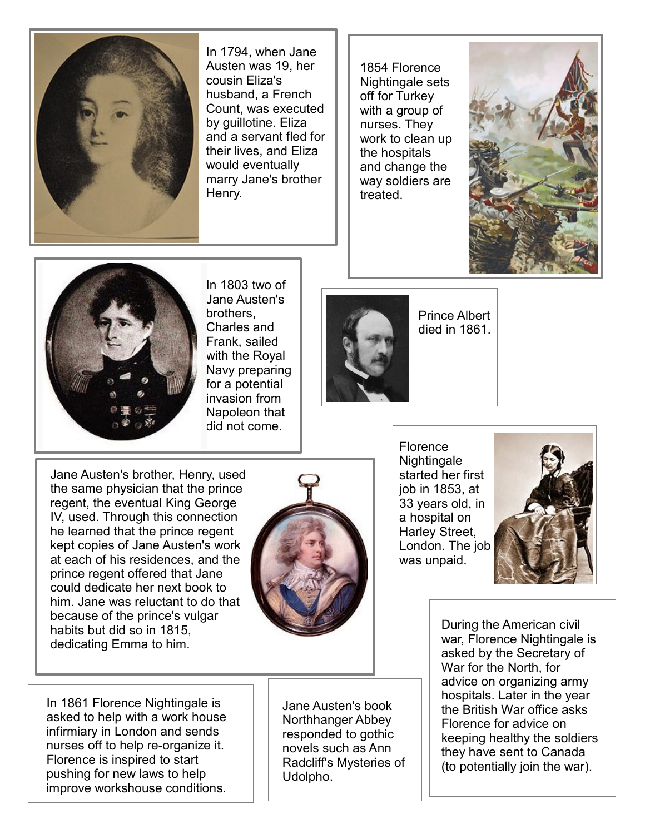

In 1794, when Jane Austen was 19, her cousin Eliza's husband, a French Count, was executed by guillotine. Eliza and a servant fled for their lives, and Eliza would eventually marry Jane's brother Henry.

1854 Florence Nightingale sets off for Turkey with a group of nurses. They work to clean up the hospitals and change the way soldiers are treated.





In 1803 two of Jane Austen's brothers, Charles and Frank, sailed with the Royal Navy preparing for a potential invasion from Napoleon that did not come.



Prince Albert died in 1861.

Jane Austen's brother, Henry, used the same physician that the prince regent, the eventual King George IV, used. Through this connection he learned that the prince regent kept copies of Jane Austen's work at each of his residences, and the prince regent offered that Jane could dedicate her next book to him. Jane was reluctant to do that because of the prince's vulgar habits but did so in 1815, dedicating Emma to him.



**Florence Nightingale** started her first job in 1853, at 33 years old, in a hospital on Harley Street, London. The job was unpaid.



During the American civil war, Florence Nightingale is asked by the Secretary of War for the North, for advice on organizing army hospitals. Later in the year the British War office asks Florence for advice on keeping healthy the soldiers they have sent to Canada (to potentially join the war).

In 1861 Florence Nightingale is asked to help with a work house infirmiary in London and sends nurses off to help re-organize it. Florence is inspired to start pushing for new laws to help improve workshouse conditions.

Jane Austen's book Northhanger Abbey responded to gothic novels such as Ann Radcliff's Mysteries of Udolpho.